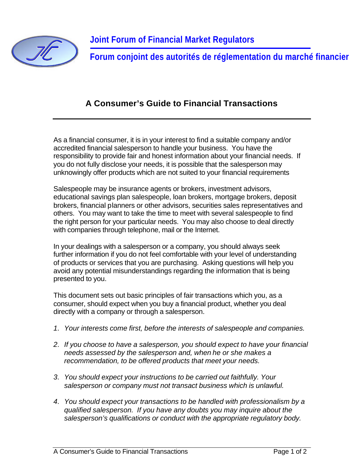

**Forum conjoint des autorités de réglementation du marché financier**

## **A Consumer's Guide to Financial Transactions**

As a financial consumer, it is in your interest to find a suitable company and/or accredited financial salesperson to handle your business. You have the responsibility to provide fair and honest information about your financial needs. If you do not fully disclose your needs, it is possible that the salesperson may unknowingly offer products which are not suited to your financial requirements

Salespeople may be insurance agents or brokers, investment advisors, educational savings plan salespeople, loan brokers, mortgage brokers, deposit brokers, financial planners or other advisors, securities sales representatives and others. You may want to take the time to meet with several salespeople to find the right person for your particular needs. You may also choose to deal directly with companies through telephone, mail or the Internet.

In your dealings with a salesperson or a company, you should always seek further information if you do not feel comfortable with your level of understanding of products or services that you are purchasing. Asking questions will help you avoid any potential misunderstandings regarding the information that is being presented to you.

This document sets out basic principles of fair transactions which you, as a consumer, should expect when you buy a financial product, whether you deal directly with a company or through a salesperson.

- *1. Your interests come first, before the interests of salespeople and companies.*
- *2. If you choose to have a salesperson, you should expect to have your financial needs assessed by the salesperson and, when he or she makes a recommendation, to be offered products that meet your needs.*
- *3. You should expect your instructions to be carried out faithfully. Your salesperson or company must not transact business which is unlawful.*
- *4. You should expect your transactions to be handled with professionalism by a qualified salesperson. If you have any doubts you may inquire about the salesperson's qualifications or conduct with the appropriate regulatory body.*